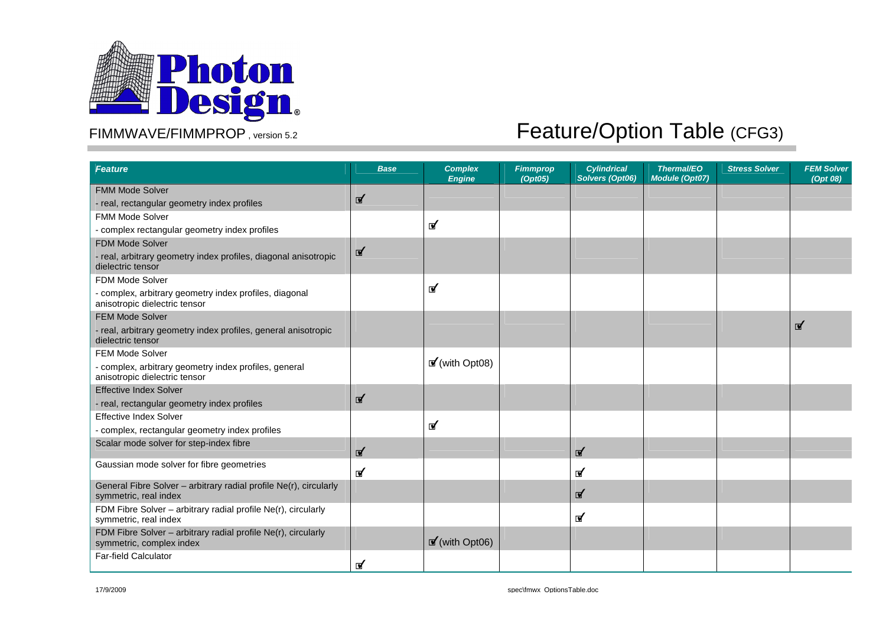

| <b>Feature</b>                                                                             | <b>Base</b> | <b>Complex</b><br><b>Engine</b> | <b>Fimmprop</b><br>(Opt05) | <b>Cylindrical</b><br>Solvers (Opt06) | <b>Thermal/EO</b><br><b>Module (Opt07)</b> | <b>Stress Solver</b> | <b>FEM Solver</b><br>(Opt 08) |
|--------------------------------------------------------------------------------------------|-------------|---------------------------------|----------------------------|---------------------------------------|--------------------------------------------|----------------------|-------------------------------|
| <b>FMM Mode Solver</b>                                                                     |             |                                 |                            |                                       |                                            |                      |                               |
| - real, rectangular geometry index profiles                                                | ☑           |                                 |                            |                                       |                                            |                      |                               |
| <b>FMM Mode Solver</b>                                                                     |             |                                 |                            |                                       |                                            |                      |                               |
| - complex rectangular geometry index profiles                                              |             | $\mathbf{r}$                    |                            |                                       |                                            |                      |                               |
| <b>FDM Mode Solver</b>                                                                     |             |                                 |                            |                                       |                                            |                      |                               |
| - real, arbitrary geometry index profiles, diagonal anisotropic<br>dielectric tensor       | ☑           |                                 |                            |                                       |                                            |                      |                               |
| <b>FDM Mode Solver</b>                                                                     |             |                                 |                            |                                       |                                            |                      |                               |
| - complex, arbitrary geometry index profiles, diagonal<br>anisotropic dielectric tensor    |             | ๔                               |                            |                                       |                                            |                      |                               |
| <b>FEM Mode Solver</b>                                                                     |             |                                 |                            |                                       |                                            |                      |                               |
| - real, arbitrary geometry index profiles, general anisotropic<br>dielectric tensor        |             |                                 |                            |                                       |                                            |                      | ๔                             |
| FEM Mode Solver                                                                            |             |                                 |                            |                                       |                                            |                      |                               |
| - complex, arbitrary geometry index profiles, general<br>anisotropic dielectric tensor     |             | $\mathbf{F}'$ (with Opt08)      |                            |                                       |                                            |                      |                               |
| <b>Effective Index Solver</b>                                                              |             |                                 |                            |                                       |                                            |                      |                               |
| - real, rectangular geometry index profiles                                                | ๔           |                                 |                            |                                       |                                            |                      |                               |
| <b>Effective Index Solver</b>                                                              |             |                                 |                            |                                       |                                            |                      |                               |
| - complex, rectangular geometry index profiles                                             |             | ๔                               |                            |                                       |                                            |                      |                               |
| Scalar mode solver for step-index fibre                                                    | ₫           |                                 |                            | ๔                                     |                                            |                      |                               |
| Gaussian mode solver for fibre geometries                                                  | ๔           |                                 |                            | ๔                                     |                                            |                      |                               |
| General Fibre Solver - arbitrary radial profile Ne(r), circularly<br>symmetric, real index |             |                                 |                            | ๔                                     |                                            |                      |                               |
| FDM Fibre Solver - arbitrary radial profile Ne(r), circularly<br>symmetric, real index     |             |                                 |                            | ⊻                                     |                                            |                      |                               |
| FDM Fibre Solver - arbitrary radial profile Ne(r), circularly<br>symmetric, complex index  |             | $\mathbf{r}'$ (with Opt06)      |                            |                                       |                                            |                      |                               |
| Far-field Calculator                                                                       | ⊽           |                                 |                            |                                       |                                            |                      |                               |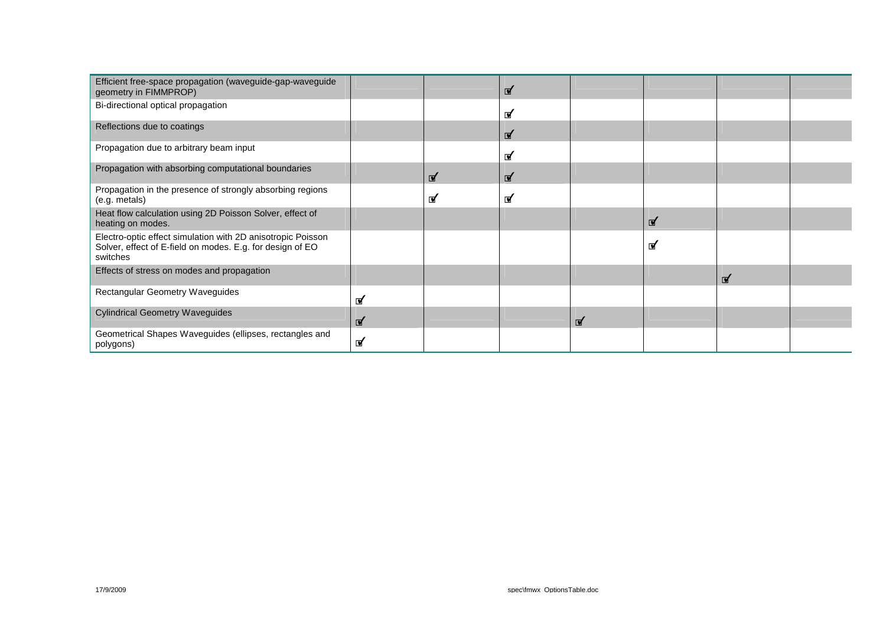| Efficient free-space propagation (waveguide-gap-waveguide<br>geometry in FIMMPROP)                                                   |   |   | ☑            |               |   |   |  |
|--------------------------------------------------------------------------------------------------------------------------------------|---|---|--------------|---------------|---|---|--|
| Bi-directional optical propagation                                                                                                   |   |   | ₫            |               |   |   |  |
| Reflections due to coatings                                                                                                          |   |   | ☑            |               |   |   |  |
| Propagation due to arbitrary beam input                                                                                              |   |   | ☑            |               |   |   |  |
| Propagation with absorbing computational boundaries                                                                                  |   | ☑ | $\mathbf{r}$ |               |   |   |  |
| Propagation in the presence of strongly absorbing regions<br>(e.g. metals)                                                           |   | ⊈ | ⊈            |               |   |   |  |
| Heat flow calculation using 2D Poisson Solver, effect of<br>heating on modes.                                                        |   |   |              |               | ₫ |   |  |
| Electro-optic effect simulation with 2D anisotropic Poisson<br>Solver, effect of E-field on modes. E.g. for design of EO<br>switches |   |   |              |               | ⊈ |   |  |
| Effects of stress on modes and propagation                                                                                           |   |   |              |               |   | ₫ |  |
| Rectangular Geometry Waveguides                                                                                                      | ☑ |   |              |               |   |   |  |
| <b>Cylindrical Geometry Waveguides</b>                                                                                               | ☑ |   |              | $\mathbf{r}'$ |   |   |  |
| Geometrical Shapes Waveguides (ellipses, rectangles and<br>polygons)                                                                 | ⊽ |   |              |               |   |   |  |